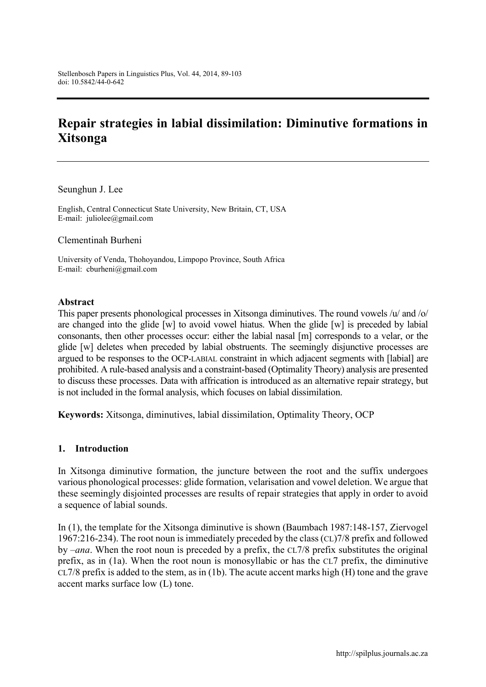# **Repair strategies in labial dissimilation: Diminutive formations in Xitsonga**

Seunghun J. Lee

English, Central Connecticut State University, New Britain, CT, USA E-mail: [juliolee@gmail.com](mailto:juliolee@gmail.com)

Clementinah Burheni

University of Venda, Thohoyandou, Limpopo Province, South Africa E-mail: [cburheni@gmail.com](mailto:cburheni@gmail.com)

#### **Abstract**

This paper presents phonological processes in Xitsonga diminutives. The round vowels /u/ and /o/ are changed into the glide [w] to avoid vowel hiatus. When the glide [w] is preceded by labial consonants, then other processes occur: either the labial nasal [m] corresponds to a velar, or the glide [w] deletes when preceded by labial obstruents. The seemingly disjunctive processes are argued to be responses to the OCP-LABIAL constraint in which adjacent segments with [labial] are prohibited. A rule-based analysis and a constraint-based (Optimality Theory) analysis are presented to discuss these processes. Data with affrication is introduced as an alternative repair strategy, but is not included in the formal analysis, which focuses on labial dissimilation.

**Keywords:** Xitsonga, diminutives, labial dissimilation, Optimality Theory, OCP

#### **1. Introduction**

In Xitsonga diminutive formation, the juncture between the root and the suffix undergoes various phonological processes: glide formation, velarisation and vowel deletion. We argue that these seemingly disjointed processes are results of repair strategies that apply in order to avoid a sequence of labial sounds.

In (1), the template for the Xitsonga diminutive is shown (Baumbach 1987:148-157, Ziervogel 1967:216-234). The root noun is immediately preceded by the class (CL)7/8 prefix and followed by –*ana*. When the root noun is preceded by a prefix, the CL7/8 prefix substitutes the original prefix, as in (1a). When the root noun is monosyllabic or has the CL7 prefix, the diminutive CL7/8 prefix is added to the stem, as in (1b). The acute accent marks high (H) tone and the grave accent marks surface low (L) tone.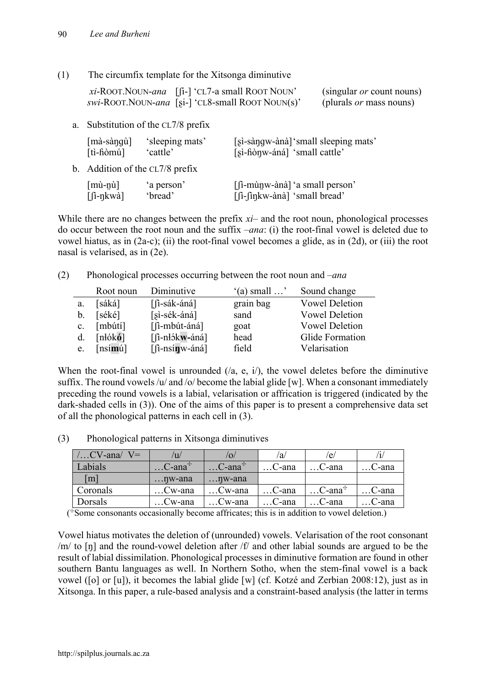(1) The circumfix template for the Xitsonga diminutive

| xi-ROOT. NOUN-ana $\left[ \begin{bmatrix} i \\ -i \end{bmatrix} \right]$ 'CL7-a small ROOT NOUN' | (singular <i>or</i> count nouns) |
|--------------------------------------------------------------------------------------------------|----------------------------------|
| <i>swi-ROOT.NOUN-ana</i> [si-] 'CL8-small ROOT NOUN(s)'                                          | (plurals <i>or</i> mass nouns)   |

a. Substitution of the CL7/8 prefix

| $[m\grave{a}$ -sàngù]                    | 's leeping mats' | [si-sàngw-ànà] 'small sleeping mats' |
|------------------------------------------|------------------|--------------------------------------|
| $[ti-h\dot{\theta}m\dot{\theta}]$        | 'cattle'         | [sì-fiònw-áná] 'small cattle'        |
| b. Addition of the $CL7/8$ prefix        |                  |                                      |
| $\lceil \text{mù-nù} \rceil$             | 'a person'       | [fi-mùnw-ànà] 'a small person'       |
| $\left[\hat{\mathbf{n}}$ -nkwà $\right]$ | 'bread'          | [fi-fing kw-àna] 'small bread'       |

While there are no changes between the prefix  $xi$ – and the root noun, phonological processes do occur between the root noun and the suffix –*ana*: (i) the root-final vowel is deleted due to vowel hiatus, as in (2a-c); (ii) the root-final vowel becomes a glide, as in (2d), or (iii) the root nasal is velarised, as in (2e).

(2) Phonological processes occurring between the root noun and –*ana*

|                | Root noun                 | Diminutive           | $'(a)$ small $\ldots$ | Sound change          |
|----------------|---------------------------|----------------------|-----------------------|-----------------------|
| a.             | [sáká]                    | $\lceil$ i-sák-áná]  | grain bag             | <b>Vowel Deletion</b> |
| b.             | [séké]                    | $[si-sék-áná]$       | sand                  | <b>Vowel Deletion</b> |
| $\mathbf{c}$ . | [mbúti]                   | $\lceil$ i-mbút-áná] | goat                  | <b>Vowel Deletion</b> |
| d.             | [ <b>n</b> 16 <b>k</b> 6] | $[$ fi-nłókw-áná]    | head                  | Glide Formation       |
| e.             | $[ns$ ímú]                | $[$ fi-nsínw-áná]    | field                 | Velarisation          |

When the root-final vowel is unrounded  $($ a, e, i $)$ , the vowel deletes before the diminutive suffix. The round vowels  $/u$  and  $/\sigma$  become the labial glide [w]. When a consonant immediately preceding the round vowels is a labial, velarisation or affrication is triggered (indicated by the dark-shaded cells in (3)). One of the aims of this paper is to present a comprehensive data set of all the phonological patterns in each cell in (3).

(3) Phonological patterns in Xitsonga diminutives

| $/$ CV-ana $/$<br>$V =$ | $^{\prime}$ u/        | $ 0\rangle$                 | /a/      | /e/                   |               |
|-------------------------|-----------------------|-----------------------------|----------|-----------------------|---------------|
| Labials                 | $$ C-ana <sup>+</sup> | $\ldots$ C-ana <sup>+</sup> | C-ana    | …C-ana                | C-ana         |
| $\lceil m \rceil$       | $\ldots$ nw-ana       | $\ldots$ nw-ana             |          |                       |               |
| Coronals                | Cw-ana                | Cw-ana                      | C-ana    | $$ C-ana <sup>+</sup> | $\dots$ C-ana |
| Dorsals                 | Cw-ana                | . .Cw-ana                   | . .C-ana | …C-ana                | C-ana         |

( ✣Some consonants occasionally become affricates; this is in addition to vowel deletion.)

Vowel hiatus motivates the deletion of (unrounded) vowels. Velarisation of the root consonant /m/ to [ŋ] and the round-vowel deletion after /f/ and other labial sounds are argued to be the result of labial dissimilation. Phonological processes in diminutive formation are found in other southern Bantu languages as well. In Northern Sotho, when the stem-final vowel is a back vowel ([o] or [u]), it becomes the labial glide [w] (cf. Kotzé and Zerbian 2008:12), just as in Xitsonga. In this paper, a rule-based analysis and a constraint-based analysis (the latter in terms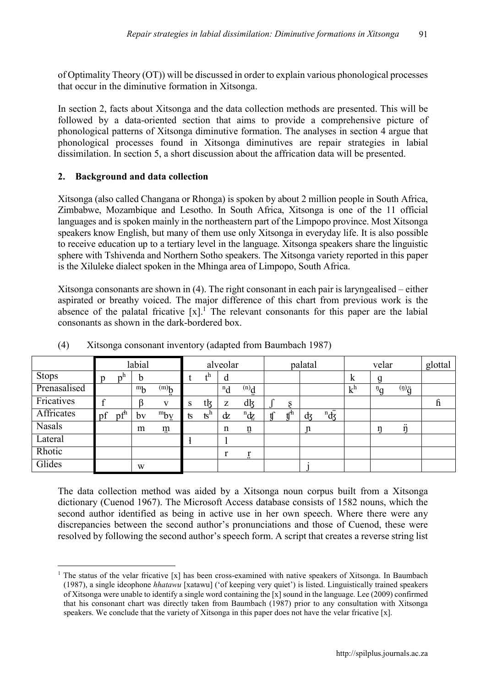of Optimality Theory (OT)) will be discussed in order to explain various phonological processes that occur in the diminutive formation in Xitsonga.

In section 2, facts about Xitsonga and the data collection methods are presented. This will be followed by a data-oriented section that aims to provide a comprehensive picture of phonological patterns of Xitsonga diminutive formation. The analyses in section 4 argue that phonological processes found in Xitsonga diminutives are repair strategies in labial dissimilation. In section 5, a short discussion about the affrication data will be presented.

# **2. Background and data collection**

Xitsonga (also called Changana or Rhonga) is spoken by about 2 million people in South Africa, Zimbabwe, Mozambique and Lesotho. In South Africa, Xitsonga is one of the 11 official languages and is spoken mainly in the northeastern part of the Limpopo province. Most Xitsonga speakers know English, but many of them use only Xitsonga in everyday life. It is also possible to receive education up to a tertiary level in the language. Xitsonga speakers share the linguistic sphere with Tshivenda and Northern Sotho speakers. The Xitsonga variety reported in this paper is the Xiluleke dialect spoken in the Mhinga area of Limpopo, South Africa.

Xitsonga consonants are shown in (4). The right consonant in each pair is laryngealised – either aspirated or breathy voiced. The major difference of this chart from previous work is the absence of the palatal fricative  $[x]$ <sup>1</sup>. The relevant consonants for this paper are the labial consonants as shown in the dark-bordered box.

|               |    |                 | labial  |                 |             |                           | alveolar |                 |                |     | palatal |                |                | velar                       |                  | glottal                   |
|---------------|----|-----------------|---------|-----------------|-------------|---------------------------|----------|-----------------|----------------|-----|---------|----------------|----------------|-----------------------------|------------------|---------------------------|
| <b>Stops</b>  | p  | n <sup>II</sup> | b       |                 |             | ∔n                        | d        |                 |                |     |         |                | $\bf k$        |                             |                  |                           |
| Prenasalised  |    |                 | $m_{b}$ | $\dot{q}^{(m)}$ |             |                           | $^n d$   | $\dot{p}^{(n)}$ |                |     |         |                | k <sup>h</sup> | $\mathfrak{p}_{\mathbf{q}}$ | $\ddot{g}^{(n)}$ |                           |
| Fricatives    |    |                 |         | V               | $\sim$<br>G | tķ                        | z        | dķ              |                | S   |         |                |                |                             |                  | $\boldsymbol{\mathsf{h}}$ |
| Affricates    | pf | pf <sup>h</sup> | by      | $m_{\rm by}$    | ts          | $\mathbf{S}^{\mathrm{n}}$ | dz       | ${}^n\!d\!z$    | $\mathfrak{t}$ | ،µm | фz      | $\overline{d}$ |                |                             |                  |                           |
| <b>Nasals</b> |    |                 | m       | m               |             |                           | n        | ņ               |                |     | n       |                |                |                             | <br>n            |                           |
| Lateral       |    |                 |         |                 |             |                           |          |                 |                |     |         |                |                |                             |                  |                           |
| Rhotic        |    |                 |         |                 |             |                           |          | Ï.              |                |     |         |                |                |                             |                  |                           |
| Glides        |    |                 | W       |                 |             |                           |          |                 |                |     |         |                |                |                             |                  |                           |

(4) Xitsonga consonant inventory (adapted from Baumbach 1987)

The data collection method was aided by a Xitsonga noun corpus built from a Xitsonga dictionary (Cuenod 1967). The Microsoft Access database consists of 1582 nouns, which the second author identified as being in active use in her own speech. Where there were any discrepancies between the second author's pronunciations and those of Cuenod, these were resolved by following the second author's speech form. A script that creates a reverse string list

 <sup>1</sup> The status of the velar fricative [x] has been cross-examined with native speakers of Xitsonga. In Baumbach (1987), a single ideophone *hhatawu* [xatawu] ('of keeping very quiet') is listed. Linguistically trained speakers of Xitsonga were unable to identify a single word containing the [x] sound in the language. Lee (2009) confirmed that his consonant chart was directly taken from Baumbach (1987) prior to any consultation with Xitsonga speakers. We conclude that the variety of Xitsonga in this paper does not have the velar fricative [x].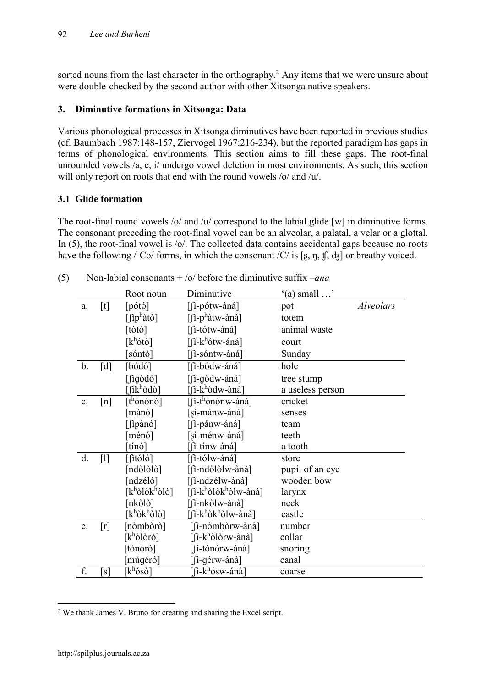sorted nouns from the last character in the orthography.<sup>2</sup> Any items that we were unsure about were double-checked by the second author with other Xitsonga native speakers.

# **3. Diminutive formations in Xitsonga: Data**

Various phonological processes in Xitsonga diminutives have been reported in previous studies (cf. Baumbach 1987:148-157, Ziervogel 1967:216-234), but the reported paradigm has gaps in terms of phonological environments. This section aims to fill these gaps. The root-final unrounded vowels /a, e, i/ undergo vowel deletion in most environments. As such, this section will only report on roots that end with the round vowels /o/ and /u/.

# **3.1 Glide formation**

The root-final round vowels /o/ and /u/ correspond to the labial glide [w] in diminutive forms. The consonant preceding the root-final vowel can be an alveolar, a palatal, a velar or a glottal. In (5), the root-final vowel is /o/. The collected data contains accidental gaps because no roots have the following /-Co/ forms, in which the consonant /C/ is [s, n, t], dz] or breathy voiced.

|                |                   | Root noun                                         | Diminutive                                       | $'(a)$ small $\ldots$ ' |           |
|----------------|-------------------|---------------------------------------------------|--------------------------------------------------|-------------------------|-----------|
| a.             | [t]               | [ <i>p</i> ó <sup>t</sup> ó]                      | $[$ fi-pótw-áná]                                 | pot                     | Alveolars |
|                |                   | $\left[\int$ îp <sup>h</sup> àtò]                 | $\left[\int$ î-p <sup>h</sup> àtw-ànà]           | totem                   |           |
|                |                   | [t <sub>ot</sub> <sub>o</sub> ]                   | [fi-tótw-áná]                                    | animal waste            |           |
|                |                   | $[k^h\acute{o}t\grave{o}]$                        | [fi-k <sup>h</sup> ótw-áná]                      | court                   |           |
|                |                   | [sóntò]                                           | [fi-sóntw-áná]                                   | Sunday                  |           |
| $\mathbf b$ .  | [d]               | $\lceil \dot{b} \dot{\alpha} \dot{\alpha} \rceil$ | [fi-bódw-áná]                                    | hole                    |           |
|                |                   | $\lceil \int$ igòdó $\rceil$                      | [fi-gòdw-áná]                                    | tree stump              |           |
|                |                   | [fikʰòdò]                                         | [fì-kʰòdw-ànà]                                   | a useless person        |           |
| $\mathbf{c}$ . | $\lceil n \rceil$ | [t <sup>h</sup> ònónó]                            | [fi-t <sup>h</sup> ònònw-áná]                    | cricket                 |           |
|                |                   | [mànò]                                            | [sì-mànw-ànà]                                    | senses                  |           |
|                |                   | $[$ fipànó]                                       | $[$ fi-pánw-áná]                                 | team                    |           |
|                |                   | [ménó]                                            | [sì-ménw-áná]                                    | teeth                   |           |
|                |                   | tínó]                                             | [fi-tínw-áná]                                    | a tooth                 |           |
| d.             | $[1]$             | [fitóló]                                          | [fi-tólw-áná]                                    | store                   |           |
|                |                   | [ndòlòlò]                                         | [fi-ndòlòlw-ànà]                                 | pupil of an eye         |           |
|                |                   | [ndzéló]                                          | [fi-ndzélw-áná]                                  | wooden bow              |           |
|                |                   | $[k^h\delta l\delta k^h\delta l\delta]$           | [fi-k <sup>h</sup> òlòk <sup>h</sup> òlw-ànà]    | larynx                  |           |
|                |                   | [nkòlò]                                           | [fi-nkòlw-ànà]                                   | neck                    |           |
|                |                   | [kʰòkʰòlò]                                        | [fi-k <sup>h</sup> òk <sup>h</sup> òlw-ànà]      | castle                  |           |
| e.             | $\lceil r \rceil$ | [nòmbòrò]                                         | [fi-nòmbòrw-ànà]                                 | number                  |           |
|                |                   | $[k^h\delta\delta\delta]$                         | $\lceil$ $\int$ $k^h$ òlòrw-ànà                  | collar                  |           |
|                |                   | [tònòrò]                                          | [fi-tònòrw-ànà]                                  | snoring                 |           |
|                |                   | mùgéró]                                           | [î-gérw-ánà]                                     | canal                   |           |
| f.             | s                 | $k^h$ ósò]                                        | $\overline{\mathsf{h}}$ -k <sup>h</sup> ósw-ánà] | coarse                  |           |

(5) Non-labial consonants + /o/ before the diminutive suffix –*ana*

 <sup>2</sup> We thank James V. Bruno for creating and sharing the Excel script.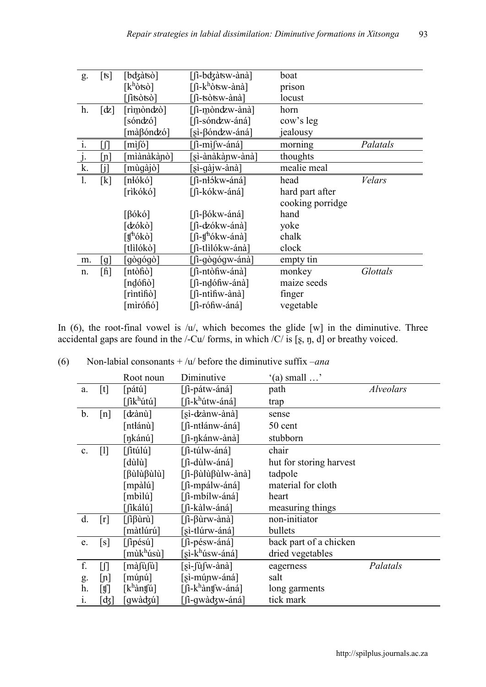| g.             | [ts]                      | [bdʒàtsò]                          | [fi-bdzàtsw-ànà]                                                     | boat             |          |
|----------------|---------------------------|------------------------------------|----------------------------------------------------------------------|------------------|----------|
|                |                           | $[k^h$ òtsò]                       | $\lceil$ $\int$ $k^h$ òtsw-ànà                                       | prison           |          |
|                |                           | fitsòtsò]                          | [î-tsòtsw-ànà]                                                       | locust           |          |
| h.             | [ʤ]                       | [rìmòndzò]                         | [fi-mòndzw-ànà]                                                      | horn             |          |
|                |                           | sóndzó]                            | [fi-sóndzw-áná]                                                      | cow's leg        |          |
|                |                           | màβóndzó]                          | [sì-βóndzw-áná]                                                      | jealousy         |          |
| $\mathbf{1}$ . | ſЛ                        | $\left[\text{mi}\right]$           | $\left[\int$ i-mì $\int w$ -áná]                                     | morning          | Palatals |
| $j$ .          | $\lfloor n \rfloor$       | miànàkànò]                         | sì-ànàkànw-ànà]                                                      | thoughts         |          |
| k.             | ΙiΙ                       | mùgàjò]                            | [sì-gàjw-ànà]                                                        | mealie meal      |          |
| 1.             | [k]                       | [nłókó]                            | [fi-nłókw-áná]                                                       | head             | Velars   |
|                |                           | [rìkókó]                           | [fi-kókw-áná]                                                        | hard part after  |          |
|                |                           |                                    |                                                                      | cooking porridge |          |
|                |                           | [βókó]                             | $\left[ \left\langle \hat{\Pi} - \hat{\beta} \right\rangle$ ókw-áná] | hand             |          |
|                |                           | [dzókò]                            | [fi-dzókw-ánà]                                                       | yoke             |          |
|                |                           | $\lceil \text{t}^{\text{th}}$ ókò] | $\lceil \int_0^h f(x) \cdot \sinh(x) \rceil$                         | chalk            |          |
|                |                           | tlìlókò]                           | [fi-tlìlókw-ánà]                                                     | clock            |          |
| m.             | $\lfloor g \rfloor$       | [gògógò]                           | [fi-gògógw-ánà]                                                      | empty tin        |          |
| n.             | $\lceil \text{fi} \rceil$ | [ntòfiò]                           | [fi-ntòfiw-ánà]                                                      | monkey           | Glottals |
|                |                           | [ndófiò]                           | [fi-ndófiw-ánà]                                                      | maize seeds      |          |
|                |                           | [rìntìfiò]                         | $[$ $\hat{I}$ -ntiĥw-ànà $\hat{I}$                                   | finger           |          |
|                |                           | mìrófió]                           | [fi-rófiw-áná]                                                       | vegetable        |          |

In (6), the root-final vowel is  $/u'$ , which becomes the glide [w] in the diminutive. Three accidental gaps are found in the  $\ell$ -Cu $\ell$  forms, in which  $\ell$  is [s, n, d] or breathy voiced.

| (6) | Non-labial consonants $+$ / $u$ / before the diminutive suffix $-$ ana |  |  |
|-----|------------------------------------------------------------------------|--|--|
|     |                                                                        |  |  |

|    |                           | Root noun                                                                          | Diminutive                                                                       | $(a)$ small $\dots$     |           |
|----|---------------------------|------------------------------------------------------------------------------------|----------------------------------------------------------------------------------|-------------------------|-----------|
| a. | $[t]$                     | [pátú]                                                                             | $[$ $\int$ i-pátw-áná]                                                           | path                    | Alveolars |
|    |                           | [fik $^h$ útú]                                                                     | $\lceil \hat{\mathbf{n}} - \mathbf{k}^{\text{h}} \hat{\mathbf{u}}$ tw-áná]       | trap                    |           |
| b. | $\lceil n \rceil$         | [chanù]                                                                            | [sì-dzànw-ànà]                                                                   | sense                   |           |
|    |                           | [ntłánù]                                                                           | [fi-ntlánw-áná]                                                                  | 50 cent                 |           |
|    |                           | [ŋkánú]                                                                            | $[$ fi-nkánw-ànà]                                                                | stubborn                |           |
| c. | [1]                       | $\lceil$ fitúlú $\rceil$                                                           | [fi-túlw-áná]                                                                    | chair                   |           |
|    |                           | [dùlù]                                                                             | [fi-dùlw-áná]                                                                    | hut for storing harvest |           |
|    |                           | $\lceil \beta$ ùlù $\beta$ ùlù $\rceil$                                            | $[$ $\hat{I}$ - $\beta$ ù $\hat{u}$ $\beta$ ù $\hat{u}$ $\hat{w}$ -ànà $\hat{I}$ | tadpole                 |           |
|    |                           | [mpàlú]                                                                            | $[$ fi-mpálw-áná]                                                                | material for cloth      |           |
|    |                           | $[mbil\u]$                                                                         | [fi-mbílw-áná]                                                                   | heart                   |           |
|    |                           | [fikálú]                                                                           | [î-kàlw-áná]                                                                     | measuring things        |           |
| d. | [r]                       | $\left[\int \hat{\mathbf{u}} \beta \hat{\mathbf{u}} \cdot \hat{\mathbf{u}}\right]$ | $\left[\int_0^1 -\beta \hat{u} \cdot \hat{v} \cdot d\hat{v}\right]$              | non-initiator           |           |
|    |                           | màtlúrú]                                                                           | [sì-tlúrw-áná]                                                                   | bullets                 |           |
| e. | $\lceil s \rceil$         | [fipésú]                                                                           | $[$ fi-pésw-áná]                                                                 | back part of a chicken  |           |
|    |                           | [mùk <sup>h</sup> úsù]                                                             | [sì-k <sup>h</sup> úsw-áná]                                                      | dried vegetables        |           |
| f. | $\int$                    | $[m\alpha]\hat{u}[\hat{u}]$                                                        | [sì-fùfw-ànà]                                                                    | eagerness               | Palatals  |
| g. | [n]                       | $\lceil \dot{m}$ únú $\rceil$                                                      | [sì-múnw-áná]                                                                    | salt                    |           |
| h. | $[\mathbf{\mathfrak{f}}]$ | $[k^h$ àntfú]                                                                      | $\left[\int_0^1 -k^h \hat{a} n f(w - \hat{a} n \hat{a})\right]$                  | long garments           |           |
| 1. | [ʤ]                       | [gwàdʒú]                                                                           | [fi-gwàdʒw-áná]                                                                  | tick mark               |           |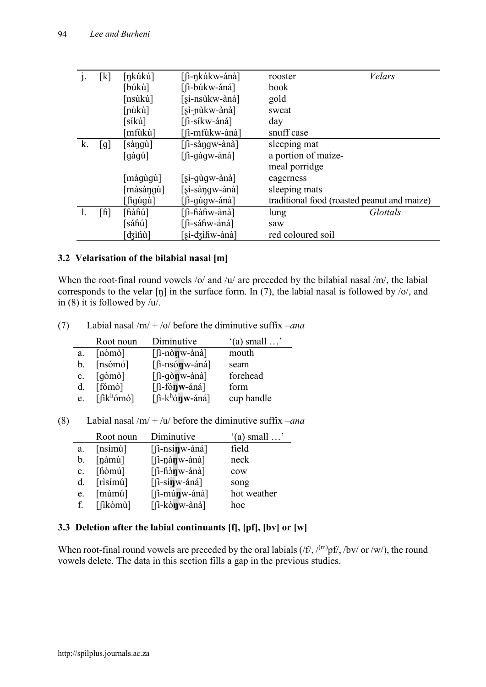| $\mathbf{J}$ . | [k]  | [ŋkúkú]                 | [fi-nkúkw-ánà]                     | rooster                                     | Velars   |
|----------------|------|-------------------------|------------------------------------|---------------------------------------------|----------|
|                |      | [búkù]                  | [fi-búkw-áná]                      | book                                        |          |
|                |      | [nsùkú]                 | [sì-nsùkw-ànà]                     | gold                                        |          |
|                |      | [nùkù]                  | [sì-nùkw-ànà]                      | sweat                                       |          |
|                |      | síkú]                   | [fi-síkw-áná]                      | day                                         |          |
|                |      | [mfùkù]                 | [fì-mfùkw-ànà]                     | snuff case                                  |          |
| k.             | [g]  | $\lceil$ sàngù $\rceil$ | $[$ $\int$ i-sàngw-ànà]            | sleeping mat                                |          |
|                |      | [gàgú]                  | $\lceil$ i-qàqw-ànà]               | a portion of maize-                         |          |
|                |      |                         |                                    | meal porridge                               |          |
|                |      | màqùqù]                 | $[si-q\hat{u}gw-\hat{a}n\hat{a}]$  | eagerness                                   |          |
|                |      | $[m\alpha\sin\alpha]$   | $[si-s\hat{a}ngw-\hat{a}n\hat{a}]$ | sleeping mats                               |          |
|                |      | $\lceil$ igúgù $\rceil$ | $\lceil$ $\lceil$ -qu qw-and       | traditional food (roasted peanut and maize) |          |
|                | [fi] | [fiàfiú]                | [fi-fiàfiw-ànà]                    | lung                                        | Glottals |
|                |      | [sáĥú]                  | [fi-sáfiw-áná]                     | saw                                         |          |
|                |      | dzifiù]                 | [sì-dʒìɦw-ànà]                     | red coloured soil                           |          |

#### **3.2 Velarisation of the bilabial nasal [m]**

When the root-final round vowels /o/ and /u/ are preceded by the bilabial nasal /m/, the labial corresponds to the velar  $[\eta]$  in the surface form. In (7), the labial nasal is followed by  $\langle \circ \rangle$ , and in (8) it is followed by  $/u$ .

(7) Labial nasal /m/ + /o/ before the diminutive suffix –*ana*

|                | Root noun                                        | Diminutive                                          | $'(a)$ small $\ldots$ |
|----------------|--------------------------------------------------|-----------------------------------------------------|-----------------------|
| a.             | $[n\dot{o}m\dot{o}]$                             | $[$ $\hat{I}$ -nò <b>n</b> $\hat{W}$ -ànà $\hat{I}$ | mouth                 |
| b.             | [nsómó]                                          | $[$ fi-nsónw-áná]                                   | seam                  |
| $\mathbf{c}$ . | $\lceil q \dot{\phi} \text{m} \dot{\phi} \rceil$ | $[$ $\int$ i-gòn w-ànà]                             | forehead              |
| d.             | [fómò]                                           | $[$ fónw-áná]                                       | form                  |
| e.             | $\lceil$ fik <sup>h</sup> ómó]                   | $[\int_0^1 -k^h \phi \mathbf{u} \cdot \phi]$        | cup handle            |

|                | Root noun                    | Diminutive                       | $'(a)$ small $\ldots$ |
|----------------|------------------------------|----------------------------------|-----------------------|
| a.             | $[nsim\$                     | $[$ $\ln$ -nsín w-áná $]$        | field                 |
| b.             | [nàmù]                       | $[\n\int$ -nàn w-ànà]            | neck                  |
| $\mathbf{c}$ . | $[\hat{\text{h}\text{omu}}]$ | $[$ fi-fi $\partial$ n $w$ -ánà] | cow                   |
| $d_{\cdot}$    | $[$ risímú $]$               | $[$ $\hat{I}$ -sín w-áná $]$     | song                  |
| e.             | $[min\{$                     | $[$ fi-múnw-ánà]                 | hot weather           |
| f              | [fikòmù]                     | $[$ fi-kònw-ànà]                 | hoe                   |

# **3.3 Deletion after the labial continuants [f], [pf], [bv] or [w]**

When root-final round vowels are preceded by the oral labials  $(f, f')$ <sub>(m)</sub>pf/, /bv/ or /w/), the round vowels delete. The data in this section fills a gap in the previous studies.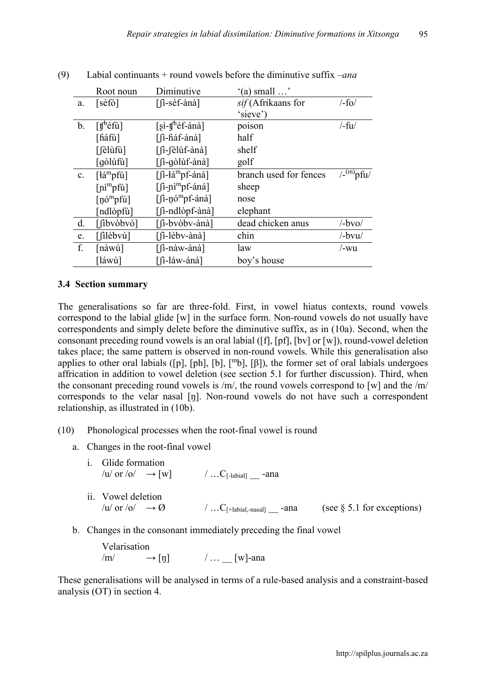|                | Root noun                                                   | Diminutive                                                                                                                                                                                                                                                                                                                            | $'(a)$ small $\ldots$  |                                 |
|----------------|-------------------------------------------------------------|---------------------------------------------------------------------------------------------------------------------------------------------------------------------------------------------------------------------------------------------------------------------------------------------------------------------------------------|------------------------|---------------------------------|
| a.             | [sèfò]                                                      | [fi-sèf-ànà]                                                                                                                                                                                                                                                                                                                          | sif (Afrikaans for     | $/-$ fo $/$                     |
|                |                                                             |                                                                                                                                                                                                                                                                                                                                       | 'sieve')               |                                 |
| $\mathbf{b}$ . | $\lceil \text{tf}^{\text{h}} \text{\'{e}} \text{fi} \rceil$ | $[si-fh$ éf-ánà]                                                                                                                                                                                                                                                                                                                      | poison                 | $/-fu/$                         |
|                | [fiáfù]                                                     | [fi-fiáf-ánà]                                                                                                                                                                                                                                                                                                                         | half                   |                                 |
|                | $\lceil$ elùfù $\rceil$                                     | [fi-fèlùf-ànà]                                                                                                                                                                                                                                                                                                                        | shelf                  |                                 |
|                | [gòlùfù]                                                    | [fi-qòlùf-ànà]                                                                                                                                                                                                                                                                                                                        | golf                   |                                 |
| $\mathbf{c}$ . | $\left[\frac{1}{2}m\right]$                                 | $\lceil$ $\left\lceil \frac{1}{2} \right\rceil$ $\frac{1}{2}$ $\frac{1}{2}$ $\frac{1}{2}$ $\frac{1}{2}$ $\frac{1}{2}$ $\frac{1}{2}$ $\frac{1}{2}$ $\frac{1}{2}$ $\frac{1}{2}$ $\frac{1}{2}$ $\frac{1}{2}$ $\frac{1}{2}$ $\frac{1}{2}$ $\frac{1}{2}$ $\frac{1}{2}$ $\frac{1}{2}$ $\frac{1}{2}$ $\frac{1}{2}$ $\frac{1}{2}$ $\frac{1}{$ | branch used for fences | $/$ - $^{(m)}$ pfu $/$          |
|                | $[n]^{m}$ pfú]                                              | [fi-ni <sup>m</sup> pf-áná]                                                                                                                                                                                                                                                                                                           | sheep                  |                                 |
|                | $\lceil \dot{\text{no}}^{\text{m}} \text{pfú} \rceil$       | $[\hat{\mathbf{n}}$ -nó <sup>m</sup> pf-áná]                                                                                                                                                                                                                                                                                          | nose                   |                                 |
|                | [ndlòpfù]                                                   | [fi-ndlòpf-ànà]                                                                                                                                                                                                                                                                                                                       | elephant               |                                 |
| d.             | $[\intibvòbvò]$                                             | [fi-bvòbv-ànà]                                                                                                                                                                                                                                                                                                                        | dead chicken anus      | $\lambda$ -bvo $\lambda$        |
| e.             | $[$ filèbvù]                                                | [fi-lèbv-ànà]                                                                                                                                                                                                                                                                                                                         | chin                   | $\frac{\partial v}{\partial x}$ |
| f.             | [nàwù]                                                      | [fi-nàw-ànà]                                                                                                                                                                                                                                                                                                                          | law                    | /-wu                            |
|                | [láwú]                                                      | [fi-láw-áná]                                                                                                                                                                                                                                                                                                                          | boy's house            |                                 |

# (9) Labial continuants + round vowels before the diminutive suffix –*ana*

#### **3.4 Section summary**

The generalisations so far are three-fold. First, in vowel hiatus contexts, round vowels correspond to the labial glide [w] in the surface form. Non-round vowels do not usually have correspondents and simply delete before the diminutive suffix, as in (10a). Second, when the consonant preceding round vowels is an oral labial ([f], [pf], [bv] or [w]), round-vowel deletion takes place; the same pattern is observed in non-round vowels. While this generalisation also applies to other oral labials ([p], [ph], [b],  $[m_b]$ , [ $\beta$ ]), the former set of oral labials undergoes affrication in addition to vowel deletion (see section 5.1 for further discussion). Third, when the consonant preceding round vowels is /m/, the round vowels correspond to [w] and the /m/ corresponds to the velar nasal [ŋ]. Non-round vowels do not have such a correspondent relationship, as illustrated in (10b).

#### (10) Phonological processes when the root-final vowel is round

a. Changes in the root-final vowel

| <i>i.</i> Glide formation<br>/u/ or /o/ $\rightarrow$ [w] | $/$ C <sup>[-labial]</sup> -ana                                                         |                               |
|-----------------------------------------------------------|-----------------------------------------------------------------------------------------|-------------------------------|
| ii. Vowel deletion<br>/u/ or /o/ $\rightarrow \emptyset$  | $\langle \dots C_{\lceil + \text{labial}, \text{-nasal} \rceil} \text{ -} \text{ and }$ | (see $\S$ 5.1 for exceptions) |

b. Changes in the consonant immediately preceding the final vowel

Velarisation  $/m/ \rightarrow [n]$  / ... [w]-ana

These generalisations will be analysed in terms of a rule-based analysis and a constraint-based analysis (OT) in section 4.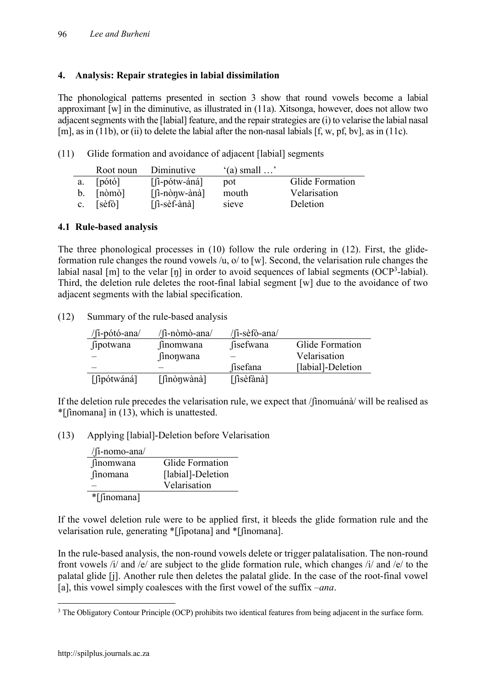# **4. Analysis: Repair strategies in labial dissimilation**

The phonological patterns presented in section 3 show that round vowels become a labial approximant [w] in the diminutive, as illustrated in (11a). Xitsonga, however, does not allow two adjacent segments with the [labial] feature, and the repair strategies are (i) to velarise the labial nasal [m], as in (11b), or (ii) to delete the labial after the non-nasal labials [f, w, pf, bv], as in (11c).

(11) Glide formation and avoidance of adjacent [labial] segments

|             | Root noun            | Diminutive                                    | $(a)$ small $\ldots$ |                 |
|-------------|----------------------|-----------------------------------------------|----------------------|-----------------|
| a.          | [pó <sub>tó</sub> ]  | $\lceil$ i-pótw-áná]                          | pot                  | Glide Formation |
|             | $[n\dot{o}m\dot{o}]$ | $\left[\hat{\text{1}}\text{-}\text{n}\right]$ | mouth                | Velarisation    |
| $c_{\cdot}$ | [sèfò]               | $\lceil$ $\lceil$ -sèf-ànà $\rceil$           | sieve                | Deletion        |

# **4.1 Rule-based analysis**

The three phonological processes in (10) follow the rule ordering in (12). First, the glideformation rule changes the round vowels /u, o/ to [w]. Second, the velarisation rule changes the labial nasal [m] to the velar [ŋ] in order to avoid sequences of labial segments (OCP<sup>3</sup>-labial). Third, the deletion rule deletes the root-final labial segment [w] due to the avoidance of two adjacent segments with the labial specification.

(12) Summary of the rule-based analysis

| $/$ fi-pótó-ana/ | /fi-nòmò-ana/    | /fi-sèfò-ana/ |                   |
|------------------|------------------|---------------|-------------------|
| fipotwana        | <i>finomwana</i> | fisefwana     | Glide Formation   |
|                  | <b>finonwana</b> |               | Velarisation      |
|                  |                  | fisefana      | [labial]-Deletion |
| [fipótwáná]      | [finònwànà]      | [fisèfànà]    |                   |

If the deletion rule precedes the velarisation rule, we expect that /ʃìnomuánà/ will be realised as \*[ʃìnomana] in (13), which is unattested.

(13) Applying [labial]-Deletion before Velarisation

| $/$ [i-nomo-ana $/$ |                   |
|---------------------|-------------------|
| finomwana           | Glide Formation   |
| finomana            | [labial]-Deletion |
|                     | Velarisation      |
| *[finomana]         |                   |

If the vowel deletion rule were to be applied first, it bleeds the glide formation rule and the velarisation rule, generating \*[ʃipotana] and \*[ʃìnomana].

In the rule-based analysis, the non-round vowels delete or trigger palatalisation. The non-round front vowels /i/ and /e/ are subject to the glide formation rule, which changes /i/ and /e/ to the palatal glide [j]. Another rule then deletes the palatal glide. In the case of the root-final vowel [a], this vowel simply coalesces with the first vowel of the suffix –*ana*.

<sup>&</sup>lt;sup>3</sup> The Obligatory Contour Principle (OCP) prohibits two identical features from being adjacent in the surface form.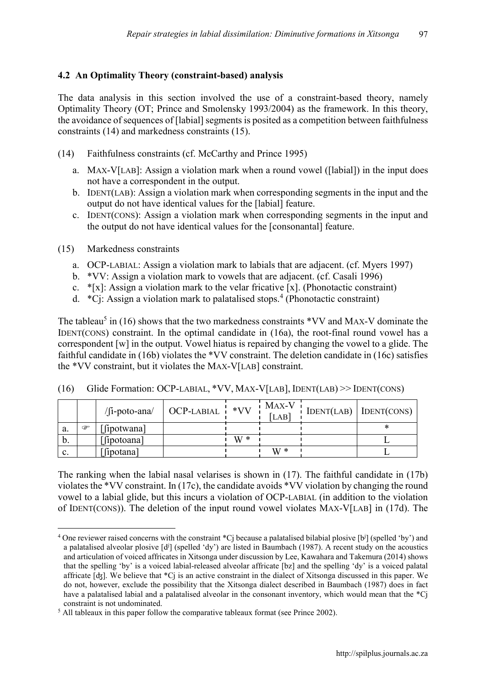# **4.2 An Optimality Theory (constraint-based) analysis**

The data analysis in this section involved the use of a constraint-based theory, namely Optimality Theory (OT; Prince and Smolensky 1993/2004) as the framework. In this theory, the avoidance of sequences of [labial] segments is posited as a competition between faithfulness constraints (14) and markedness constraints (15).

- (14) Faithfulness constraints (cf. McCarthy and Prince 1995)
	- a. MAX-V[LAB]: Assign a violation mark when a round vowel ([labial]) in the input does not have a correspondent in the output.
	- b. IDENT(LAB): Assign a violation mark when corresponding segments in the input and the output do not have identical values for the [labial] feature.
	- c. IDENT(CONS): Assign a violation mark when corresponding segments in the input and the output do not have identical values for the [consonantal] feature.
- (15) Markedness constraints
	- a. OCP-LABIAL: Assign a violation mark to labials that are adjacent. (cf. Myers 1997)
	- b. \*VV: Assign a violation mark to vowels that are adjacent. (cf. Casali 1996)
	- c.  $*(x)$ : Assign a violation mark to the velar fricative [x]. (Phonotactic constraint)
	- d. \*Cj: Assign a violation mark to palatalised stops. <sup>4</sup> (Phonotactic constraint)

The tableau<sup>5</sup> in (16) shows that the two markedness constraints  $*VV$  and MAX-V dominate the IDENT(CONS) constraint. In the optimal candidate in (16a), the root-final round vowel has a correspondent [w] in the output. Vowel hiatus is repaired by changing the vowel to a glide. The faithful candidate in (16b) violates the \*VV constraint. The deletion candidate in (16c) satisfies the \*VV constraint, but it violates the MAX-V[LAB] constraint.

|                |   | $/$ [i-poto-ana $/$ | OCP-LABIAL i | $*VV$ | MAX-V<br>$LAB$ | $\log_{10}(LAB)$ IDENT(CONS) |
|----------------|---|---------------------|--------------|-------|----------------|------------------------------|
| a.             | œ | [ipotwana]          |              |       |                |                              |
| b.             |   | [fipotoana]         |              | $W^*$ |                |                              |
| $\mathbf{c}$ . |   | [fipotana]          |              |       | $W^*$          |                              |

(16) Glide Formation: OCP-LABIAL, \*VV, MAX-V[LAB], IDENT(LAB) >> IDENT(CONS)

The ranking when the labial nasal velarises is shown in (17). The faithful candidate in (17b) violates the \*VV constraint. In (17c), the candidate avoids \*VV violation by changing the round vowel to a labial glide, but this incurs a violation of OCP-LABIAL (in addition to the violation of IDENT(CONS)). The deletion of the input round vowel violates MAX-V[LAB] in (17d). The

<sup>&</sup>lt;sup>4</sup> One reviewer raised concerns with the constraint \*Cj because a palatalised bilabial plosive [b<sup>j</sup>] (spelled 'by') and a palatalised alveolar plosive  $[d]$  (spelled 'dy') are listed in Baumbach (1987). A recent study on the acoustics and articulation of voiced affricates in Xitsonga under discussion by Lee, Kawahara and Takemura (2014) shows that the spelling 'by' is a voiced labial-released alveolar affricate [bz] and the spelling 'dy' is a voiced palatal affricate [ʤ]. We believe that \*Cj is an active constraint in the dialect of Xitsonga discussed in this paper. We do not, however, exclude the possibility that the Xitsonga dialect described in Baumbach (1987) does in fact have a palatalised labial and a palatalised alveolar in the consonant inventory, which would mean that the \*Cj constraint is not undominated.

<sup>&</sup>lt;sup>5</sup> All tableaux in this paper follow the comparative tableaux format (see Prince 2002).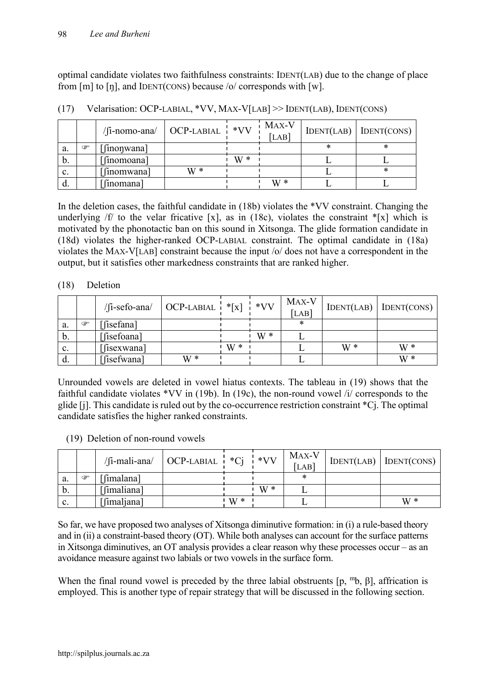optimal candidate violates two faithfulness constraints: IDENT(LAB) due to the change of place from [m] to [ŋ], and IDENT(CONS) because /o/ corresponds with [w].

|                 |   | $/$ [i-nomo-ana $/$ | $\overline{OCP-LABIAL}$ | $*VV$ | MAX-V<br>[LAB] |   | $IDENT(LAB)$ IDENT(CONS) |
|-----------------|---|---------------------|-------------------------|-------|----------------|---|--------------------------|
| a.              | œ | [inonwana]          |                         |       |                | ∗ | ∗                        |
| $\mathfrak{b}.$ |   | [finomoana]         |                         | $W*$  |                |   |                          |
| $\mathbf{c}$ .  |   | [finomwana]         | $W*$                    |       |                |   | *                        |
| d.              |   | finomana            |                         |       | $W^*$          |   |                          |

(17) Velarisation: OCP-LABIAL, \*VV, MAX-V[LAB] >> IDENT(LAB), IDENT(CONS)

In the deletion cases, the faithful candidate in (18b) violates the \*VV constraint. Changing the underlying  $f/d$  to the velar fricative [x], as in (18c), violates the constraint  $f(x)$  which is motivated by the phonotactic ban on this sound in Xitsonga. The glide formation candidate in (18d) violates the higher-ranked OCP-LABIAL constraint. The optimal candidate in (18a) violates the MAX-V[LAB] constraint because the input /o/ does not have a correspondent in the output, but it satisfies other markedness constraints that are ranked higher.

#### (18) Deletion

|                |   | $/$ [i-sefo-ana $/$ | OCP-LABIAL $\vert * \vert x \vert \vert * VV$ |       |     | MAX-V<br>[LAB] | IDENT(LAB) | IDENT(CONS) |
|----------------|---|---------------------|-----------------------------------------------|-------|-----|----------------|------------|-------------|
| a.             | œ | [isefana]           |                                               |       |     | *              |            |             |
| b.             |   | [fisefoana]         |                                               |       | W * |                |            |             |
| $\mathbf{c}$ . |   | [isexwana]          |                                               | $W^*$ |     |                | $W^*$      | $W^*$       |
| d.             |   | [isefwana]          | $W^*$                                         |       |     |                |            | $W^*$       |

Unrounded vowels are deleted in vowel hiatus contexts. The tableau in (19) shows that the faithful candidate violates \*VV in (19b). In (19c), the non-round vowel  $\overline{ii}$  corresponds to the glide [j]. This candidate is ruled out by the co-occurrence restriction constraint \*Cj. The optimal candidate satisfies the higher ranked constraints.

#### (19) Deletion of non-round vowels

|                |   | /fi-mali-ana/ | $OCP-LABIAL + C1$ |       | $*VV$ | MAX-V<br>[LAB] | $IDENT(LAB)$ DENT(CONS) |
|----------------|---|---------------|-------------------|-------|-------|----------------|-------------------------|
| a.             | œ | [imalana]     |                   |       |       | ∗              |                         |
| b.             |   | [fimaliana]   |                   |       | $W^*$ |                |                         |
| $\mathbf{c}$ . |   | [fimaljana]   |                   | ' W * |       |                | $W^*$                   |

So far, we have proposed two analyses of Xitsonga diminutive formation: in (i) a rule-based theory and in (ii) a constraint-based theory (OT). While both analyses can account for the surface patterns in Xitsonga diminutives, an OT analysis provides a clear reason why these processes occur – as an avoidance measure against two labials or two vowels in the surface form.

When the final round vowel is preceded by the three labial obstruents  $[p, {}^m b, B]$ , affrication is employed. This is another type of repair strategy that will be discussed in the following section.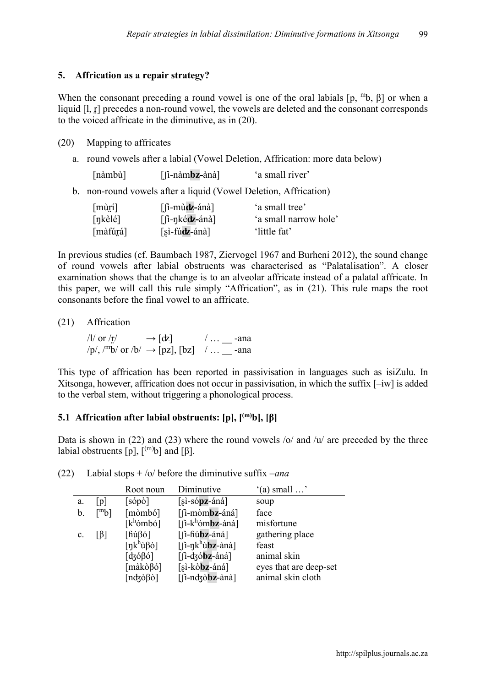#### **5. Affrication as a repair strategy?**

When the consonant preceding a round vowel is one of the oral labials  $[p, {^m}b, \beta]$  or when a liquid [1, r] precedes a non-round vowel, the vowels are deleted and the consonant corresponds to the voiced affricate in the diminutive, as in (20).

#### (20) Mapping to affricates

a. round vowels after a labial (Vowel Deletion, Affrication: more data below)

| [nàmbù] | $[$ fi-nàmbz-ànà] | 'a small river' |
|---------|-------------------|-----------------|
|---------|-------------------|-----------------|

b. non-round vowels after a liquid (Vowel Deletion, Affrication)

| $[\text{m\`u\`f}]$        | $\lceil$ $\lceil$ -mùdz-ánà $\rceil$ | 'a small tree'        |
|---------------------------|--------------------------------------|-----------------------|
| $[nk\grave{e}l\acute{e}]$ | $\lceil$ i-nké <b>dz</b> -ánà        | 'a small narrow hole' |
| [màfúrá]                  | $[s\cdot f\acute{u}dz$ -ánà]         | 'little fat'          |

In previous studies (cf. Baumbach 1987, Ziervogel 1967 and Burheni 2012), the sound change of round vowels after labial obstruents was characterised as "Palatalisation". A closer examination shows that the change is to an alveolar affricate instead of a palatal affricate. In this paper, we will call this rule simply "Affrication", as in (21). This rule maps the root consonants before the final vowel to an affricate.

(21) Affrication

/l/ or /r̪/  $\longrightarrow [\text{d}z]$  / ... \_\_\_ -ana  $\gamma$ p/, /<sup>m</sup>b/ or /b/  $\rightarrow$  [pz], [bz] / ... \_\_ -ana

This type of affrication has been reported in passivisation in languages such as isiZulu. In Xitsonga, however, affrication does not occur in passivisation, in which the suffix [–iw] is added to the verbal stem, without triggering a phonological process.

# **5.1 Affrication after labial obstruents: [p], [(m)b], [β]**

Data is shown in (22) and (23) where the round vowels  $\frac{1}{u}$  and  $\frac{1}{u}$  are preceded by the three labial obstruents  $[p]$ ,  $\binom{(m)}{b}$  and  $\binom{β}{r}$ .

|                |                     | Root noun                                     | Diminutive                                                                                     | $'(a)$ small $\ldots$  |
|----------------|---------------------|-----------------------------------------------|------------------------------------------------------------------------------------------------|------------------------|
| a.             | [p]                 | $[s$ ópò]                                     | $[si-sópz-áná]$                                                                                | soup                   |
| b.             | $\lceil m_b \rceil$ | [mòmbó]                                       | [fi-mòmbz-áná]                                                                                 | face                   |
|                |                     | $[k^h$ ómbó]                                  | $\left[\int_0^1 -k^h \omega_h \omega_h \right]$                                                | misfortune             |
| $\mathbf{c}$ . | IBI                 | $\lceil \hat{h} \hat{u} \beta \hat{o} \rceil$ | $[$ fi-fiúbz-áná]                                                                              | gathering place        |
|                |                     | $[nk^h\ddot{u}\beta\dot{o}]$                  | $[\hat{\mathsf{n}}$ -nk <sup>h</sup> ù <b>bz</b> -ànà]                                         | feast                  |
|                |                     | $\lceil d \cdot \beta_0 \rceil$               | $\left[ \int$ -dzóbz-áná]                                                                      | animal skin            |
|                |                     | [makòβó]                                      | [sì-kò <b>bz</b> -áná]                                                                         | eyes that are deep-set |
|                |                     | $[ndz\delta\beta\delta]$                      | $\left[\hat{\mathbf{n}}\text{-ndzobz}-\hat{\mathbf{a}}\hat{\mathbf{n}}\hat{\mathbf{a}}\right]$ | animal skin cloth      |

(22) Labial stops + /o/ before the diminutive suffix –*ana*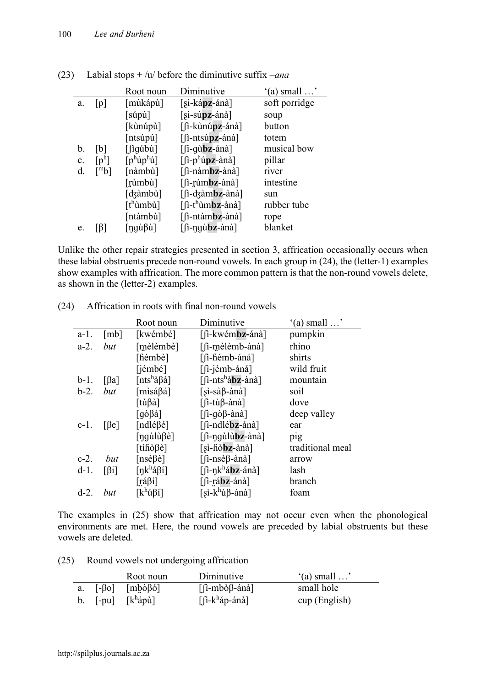|    |                     | Root noun                       | Diminutive                                  | $'(a)$ small $\ldots$ |
|----|---------------------|---------------------------------|---------------------------------------------|-----------------------|
| a. | p                   | [mùkápù]                        | $[si-kápz-ánà]$                             | soft porridge         |
|    |                     | $\lceil \sinh \tilde{u} \rceil$ | $[si-súpz-ánà]$                             | soup                  |
|    |                     | [kùnúpù]                        | [fi-kùnúpz-ánà]                             | button                |
|    |                     | $[$ ntsúpú $]$                  | $\lceil$ $\lceil$ -ntsúpz-ánà $\rceil$      | totem                 |
| b. | lbl                 | $\lceil$ iqúbù $\rceil$         | $\left[$ [i-qù <b>bz</b> -ánà]              | musical bow           |
| c. | $[p^h]$             | $[p^h$ ú $p^h$ ú]               | [fi-p <sup>h</sup> úpz-ànà]                 | pillar                |
| d  | $\lceil m_b \rceil$ | [nàmbù]                         | $[$ fi-nàmbz-ànà]                           | river                 |
|    |                     | [rùmbù]                         | $[$ $\hat{a}$ -rùm <b>bz</b> -ànà $\hat{a}$ | intestine             |
|    |                     | [ʤàmbù]                         | [fi-dzàmbz-ànà]                             | sun                   |
|    |                     | [tʰùmbù]                        | [fì-t <sup>h</sup> ùm <b>bz</b> -ànà]       | rubber tube           |
|    |                     | [ntàmbù]                        | [fi-ntàmbz-ànà]                             | rope                  |
| e. |                     | [ŋgùßù]                         | $\lceil$ i-nqubz-ànà]                       | blanket               |

(23) Labial stops + /u/ before the diminutive suffix –*ana*

Unlike the other repair strategies presented in section 3, affrication occasionally occurs when these labial obstruents precede non-round vowels. In each group in (24), the (letter-1) examples show examples with affrication. The more common pattern is that the non-round vowels delete, as shown in the (letter-2) examples.

|         |                         | Root noun                                                 | Diminutive                                  | $'(a)$ small $\ldots$ |
|---------|-------------------------|-----------------------------------------------------------|---------------------------------------------|-----------------------|
| $a-1$ . | [mb]                    | [kwémbé]                                                  | [fi-kwém <b>bz-</b> ánà]                    | pumpkin               |
| $a-2$ . | but                     | [mèlèmbè]                                                 | [fi-mèlèmb-ànà]                             | rhino                 |
|         |                         | [fiémbè]                                                  | [fi-fiémb-áná]                              | shirts                |
|         |                         | [jémbé]                                                   | [fi-jémb-áná]                               | wild fruit            |
| $b-1$ . | $\lceil \beta a \rceil$ | [nts <sup>h</sup> àβà]                                    | [fi-nts <sup>h</sup> à <b>bz</b> -ànà]      | mountain              |
| $b-2$ . | but                     | [mìsáßá]                                                  | $[si-sà\beta-\hat{a}n\hat{a}]$              | soil                  |
|         |                         | [tùβà]                                                    | $[$ fi-tù $\beta$ -ànà]                     | dove                  |
|         |                         | $[q\delta\beta\aa]$                                       | $\lceil$ i-qò $\beta$ -ànà]                 | deep valley           |
| $c-1$ . | [6e]                    | [ndléßé]                                                  | [fi-ndlébz-ánà]                             | ear                   |
|         |                         | $\lceil \eta q \text{u} \rceil \text{u} \beta$ è $\lceil$ | $\lceil$ i-ngùlùbz-ànà]                     | pig                   |
|         |                         | [tifiò $\beta$ è]                                         | $[si-fi\delta\mathbf{b}z-\hat{a}n\hat{a}]$  | traditional meal      |
| $c-2$ . | but                     | [nsèßè]                                                   | [fi-nsè $\beta$ -ànà]                       | arrow                 |
| $d-1$ . | $\lceil \beta i \rceil$ | [ŋkʰá $\beta$ í]                                          | $[\int$ i-ŋk <sup>h</sup> á <b>bz</b> -ánà] | lash                  |
|         |                         | [ráβí]                                                    | $[$ fi-rábz-ánà]                            | branch                |
| $d-2$ . | but                     | $\lceil k^h$ ú $\beta$ í]                                 | $[si-k^h$ ú $\beta$ -ánà]                   | foam                  |

(24) Affrication in roots with final non-round vowels

The examples in (25) show that affrication may not occur even when the phonological environments are met. Here, the round vowels are preceded by labial obstruents but these vowels are deleted.

| (25) |  |  | Round vowels not undergoing affrication |  |
|------|--|--|-----------------------------------------|--|
|------|--|--|-----------------------------------------|--|

|  | Root noun                                                | Diminutive                                                                                                                                                                                                                                                                                                                                                                                                                            | $'(a)$ small $\ldots$ |
|--|----------------------------------------------------------|---------------------------------------------------------------------------------------------------------------------------------------------------------------------------------------------------------------------------------------------------------------------------------------------------------------------------------------------------------------------------------------------------------------------------------------|-----------------------|
|  | a. $[-\beta o]$ $[m\dot{\beta} \dot{\beta} \dot{\beta}]$ | $\left[ \left( \hat{\mathbf{h}} - \hat{\mathbf{h}} \right)$ = $\left( \hat{\mathbf{h}} \right)$ = $\left( \hat{\mathbf{h}} \right)$ = $\left( \hat{\mathbf{h}} \right)$ = $\left( \hat{\mathbf{h}} \right)$ = $\left( \hat{\mathbf{h}} \right)$ = $\left( \hat{\mathbf{h}} \right)$ = $\left( \hat{\mathbf{h}} \right)$ = $\left( \hat{\mathbf{h}} \right)$ = $\left( \hat{\mathbf{h}} \right)$ = $\left( \hat{\mathbf{h}} \right)$ = | small hole            |
|  | b. $[-pu]$ $[k^h$ ápù]                                   | $\left[\hat{\mu} - k^h \hat{a} p - \hat{a} n \hat{a}\right]$                                                                                                                                                                                                                                                                                                                                                                          | cup (English)         |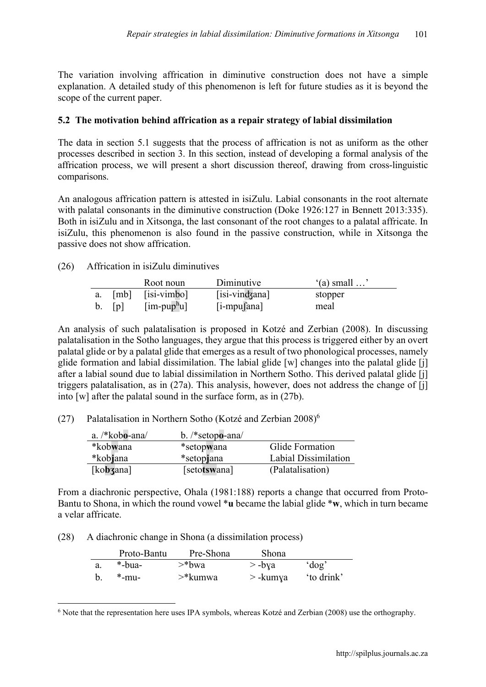The variation involving affrication in diminutive construction does not have a simple explanation. A detailed study of this phenomenon is left for future studies as it is beyond the scope of the current paper.

#### **5.2 The motivation behind affrication as a repair strategy of labial dissimilation**

The data in section 5.1 suggests that the process of affrication is not as uniform as the other processes described in section 3. In this section, instead of developing a formal analysis of the affrication process, we will present a short discussion thereof, drawing from cross-linguistic comparisons.

An analogous affrication pattern is attested in isiZulu. Labial consonants in the root alternate with palatal consonants in the diminutive construction (Doke 1926:127 in Bennett 2013:335). Both in isiZulu and in Xitsonga, the last consonant of the root changes to a palatal affricate. In isiZulu, this phenomenon is also found in the passive construction, while in Xitsonga the passive does not show affrication.

#### (26) Affrication in isiZulu diminutives

|         |     | Root noun                                       | Diminutive     | $(a)$ small $\dots$ |
|---------|-----|-------------------------------------------------|----------------|---------------------|
| а.      |     | $[mb]$ $[isi-vimbo]$                            | [isi-vindzana] | stopper             |
| $b_{1}$ | [p] | $\left[\text{im-pup}^{\text{h}}\text{u}\right]$ | $[i-mpu]$ ana] | meal                |

An analysis of such palatalisation is proposed in Kotzé and Zerbian (2008). In discussing palatalisation in the Sotho languages, they argue that this process is triggered either by an overt palatal glide or by a palatal glide that emerges as a result of two phonological processes, namely glide formation and labial dissimilation. The labial glide [w] changes into the palatal glide [j] after a labial sound due to labial dissimilation in Northern Sotho. This derived palatal glide [j] triggers palatalisation, as in (27a). This analysis, however, does not address the change of [j] into [w] after the palatal sound in the surface form, as in (27b).

(27) Palatalisation in Northern Sotho (Kotzé and Zerbian  $2008$ )<sup>6</sup>

| a. /*kobo-ana/ | b. $/*$ setopo-ana $/$ |                      |
|----------------|------------------------|----------------------|
| *kobwana       | *setopwana             | Glide Formation      |
| *kobjana       | *setopjana             | Labial Dissimilation |
| [kobzana]      | [setotswana]           | (Palatalisation)     |

From a diachronic perspective, Ohala (1981:188) reports a change that occurred from Proto-Bantu to Shona, in which the round vowel \***u** became the labial glide \***w**, which in turn became a velar affricate.

(28) A diachronic change in Shona (a dissimilation process)

| Proto-Bantu | Pre-Shona | <b>Shona</b> |           |
|-------------|-----------|--------------|-----------|
| $*$ -bua-   | $>$ *bwa  | $>$ -bya     | 'dog'     |
| $*$ -mu-    | >*kumwa   | $>$ -kumya   | to drink' |

 <sup>6</sup> Note that the representation here uses IPA symbols, whereas Kotzé and Zerbian (2008) use the orthography.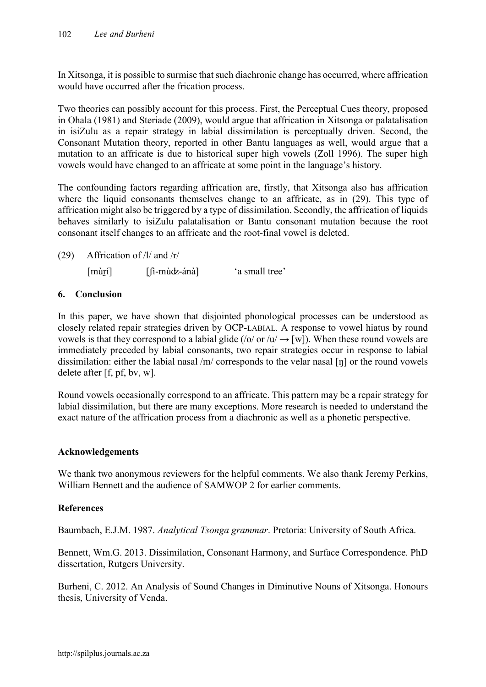In Xitsonga, it is possible to surmise that such diachronic change has occurred, where affrication would have occurred after the frication process.

Two theories can possibly account for this process. First, the Perceptual Cues theory, proposed in Ohala (1981) and Steriade (2009), would argue that affrication in Xitsonga or palatalisation in isiZulu as a repair strategy in labial dissimilation is perceptually driven. Second, the Consonant Mutation theory, reported in other Bantu languages as well, would argue that a mutation to an affricate is due to historical super high vowels (Zoll 1996). The super high vowels would have changed to an affricate at some point in the language's history.

The confounding factors regarding affrication are, firstly, that Xitsonga also has affrication where the liquid consonants themselves change to an affricate, as in (29). This type of affrication might also be triggered by a type of dissimilation. Secondly, the affrication of liquids behaves similarly to isiZulu palatalisation or Bantu consonant mutation because the root consonant itself changes to an affricate and the root-final vowel is deleted.

(29) Affrication of /l/ and /r/

[mùr̪í] [fi-mùdz-ánà] 'a small tree'

# **6. Conclusion**

In this paper, we have shown that disjointed phonological processes can be understood as closely related repair strategies driven by OCP-LABIAL. A response to vowel hiatus by round vowels is that they correspond to a labial glide (/o/ or /u/  $\rightarrow$  [w]). When these round vowels are immediately preceded by labial consonants, two repair strategies occur in response to labial dissimilation: either the labial nasal /m/ corresponds to the velar nasal [ŋ] or the round vowels delete after [f, pf, bv, w].

Round vowels occasionally correspond to an affricate. This pattern may be a repair strategy for labial dissimilation, but there are many exceptions. More research is needed to understand the exact nature of the affrication process from a diachronic as well as a phonetic perspective.

# **Acknowledgements**

We thank two anonymous reviewers for the helpful comments. We also thank Jeremy Perkins, William Bennett and the audience of SAMWOP 2 for earlier comments.

# **References**

Baumbach, E.J.M. 1987. *Analytical Tsonga grammar*. Pretoria: University of South Africa.

Bennett, Wm.G. 2013. Dissimilation, Consonant Harmony, and Surface Correspondence. PhD dissertation, Rutgers University.

Burheni, C. 2012. An Analysis of Sound Changes in Diminutive Nouns of Xitsonga. Honours thesis, University of Venda.